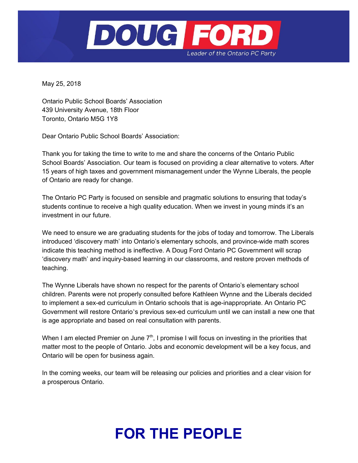

May 25, 2018

Ontario Public School Boards' Association 439 University Avenue, 18th Floor Toronto, Ontario M5G 1Y8

Dear Ontario Public School Boards' Association:

Thank you for taking the time to write to me and share the concerns of the Ontario Public School Boards' Association. Our team is focused on providing a clear alternative to voters. After 15 years of high taxes and government mismanagement under the Wynne Liberals, the people of Ontario are ready for change.

The Ontario PC Party is focused on sensible and pragmatic solutions to ensuring that today's students continue to receive a high quality education. When we invest in young minds it's an investment in our future.

We need to ensure we are graduating students for the jobs of today and tomorrow. The Liberals introduced 'discovery math' into Ontario's elementary schools, and province-wide math scores indicate this teaching method is ineffective. A Doug Ford Ontario PC Government will scrap 'discovery math' and inquiry-based learning in our classrooms, and restore proven methods of teaching.

The Wynne Liberals have shown no respect for the parents of Ontario's elementary school children. Parents were not properly consulted before Kathleen Wynne and the Liberals decided to implement a sex-ed curriculum in Ontario schools that is age-inappropriate. An Ontario PC Government will restore Ontario's previous sex-ed curriculum until we can install a new one that is age appropriate and based on real consultation with parents.

When I am elected Premier on June  $7<sup>th</sup>$ , I promise I will focus on investing in the priorities that matter most to the people of Ontario. Jobs and economic development will be a key focus, and Ontario will be open for business again.

In the coming weeks, our team will be releasing our policies and priorities and a clear vision for a prosperous Ontario.

## **FOR THE PEOPLE**